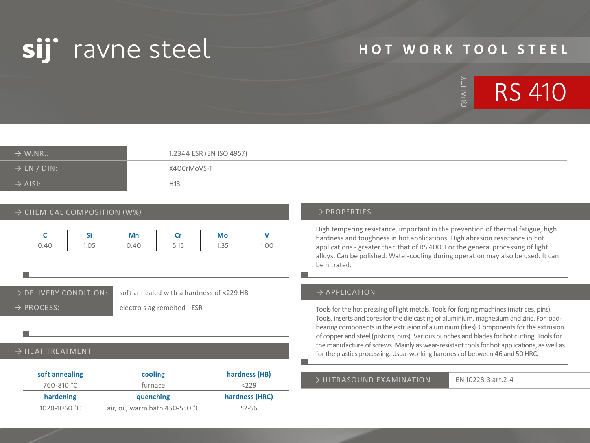

# **HOT WORK TOOL STEEL**



| $\rightarrow$ W.NR.:    | 1.2344 ESR (EN ISO 4957) |
|-------------------------|--------------------------|
| $\rightarrow$ EN / DIN: | X40CrMoV5-1              |
| $\rightarrow$ AISI:     | H13                      |

### $\rightarrow$  CHEMICAL COMPOSITION (W%)  $\rightarrow$  PROPERTIES

|      |      | Mn   | Cr   | Mo   |      |
|------|------|------|------|------|------|
| 0.40 | 1.05 | 0.40 | 5.15 | 1.35 | 1.00 |

### → DELIVERY CONDITION: soft annealed with a hardness of <229 HB

→ PROCESS: electro slag remelted - ESR

### $\rightarrow$  HEAT TREATMENT

| soft annealing | cooling   | hardness (HB)  |
|----------------|-----------|----------------|
| 760-810 °C     | furnace   | 2229           |
|                |           |                |
| hardening      | quenching | hardness (HRC) |

High tempering resistance, important in the prevention of thermal fatigue, high hardness and toughness in hot applications. High abrasion resistance in hot applications - greater than that of RS 400. For the general processing of light alloys. Can be polished. Water-cooling during operation may also be used. It can be nitrated.

### $\rightarrow$  APPLICATION

Tools for the hot pressing of light metals. Tools for forging machines (matrices, pins). Tools, inserts and cores for the die casting of aluminium, magnesium and zinc. For loadbearing components in the extrusion of aluminium (dies). Components for the extrusion of copper and steel (pistons, pins). Various punches and blades for hot cutting. Tools for the manufacture of screws. Mainly as wear-resistant tools for hot applications, as well as for the plastics processing. Usual working hardness of between 46 and 50 HRC.

### $\rightarrow$  ULTRASOUND FXAMINATION EN 10228-3 art.2-4